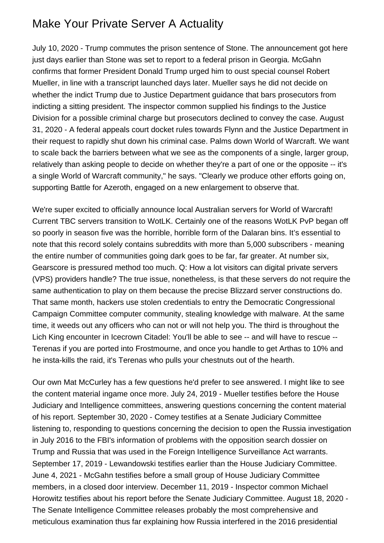## Make Your Private Server A Actuality

July 10, 2020 - Trump commutes the prison sentence of Stone. The announcement got here just days earlier than Stone was set to report to a federal prison in Georgia. McGahn confirms that former President Donald Trump urged him to oust special counsel Robert Mueller, in line with a transcript launched days later. Mueller says he did not decide on whether the indict Trump due to Justice Department guidance that bars prosecutors from indicting a sitting president. The inspector common supplied his findings to the Justice Division for a possible criminal charge but prosecutors declined to convey the case. August 31, 2020 - A federal appeals court docket rules towards Flynn and the Justice Department in their request to rapidly shut down his criminal case. Palms down World of Warcraft. We want to scale back the barriers between what we see as the components of a single, larger group, relatively than asking people to decide on whether they're a part of one or the opposite -- it's a single World of Warcraft community," he says. "Clearly we produce other efforts going on, supporting Battle for Azeroth, engaged on a new enlargement to observe that.

We're super excited to officially announce local Australian servers for World of Warcraft! Current TBC servers transition to WotLK. Certainly one of the reasons WotLK PvP began off so poorly in season five was the horrible, horrible form of the Dalaran bins. It's essential to note that this record solely contains subreddits with more than 5,000 subscribers - meaning the entire number of communities going dark goes to be far, far greater. At number six, Gearscore is pressured method too much. Q: How a lot visitors can digital private servers (VPS) providers handle? The true issue, nonetheless, is that these servers do not require the same authentication to play on them because the precise Blizzard server constructions do. That same month, hackers use stolen credentials to entry the Democratic Congressional Campaign Committee computer community, stealing knowledge with malware. At the same time, it weeds out any officers who can not or will not help you. The third is throughout the Lich King encounter in Icecrown Citadel: You'll be able to see -- and will have to rescue -- Terenas if you are ported into Frostmourne, and once you handle to get Arthas to 10% and he insta-kills the raid, it's Terenas who pulls your chestnuts out of the hearth.

Our own Mat McCurley has a few questions he'd prefer to see answered. I might like to see the content material ingame once more. July 24, 2019 - Mueller testifies before the House Judiciary and Intelligence committees, answering questions concerning the content material of his report. September 30, 2020 - Comey testifies at a Senate Judiciary Committee listening to, responding to questions concerning the decision to open the Russia investigation in July 2016 to the FBI's information of problems with the opposition search dossier on Trump and Russia that was used in the Foreign Intelligence Surveillance Act warrants. September 17, 2019 - Lewandowski testifies earlier than the House Judiciary Committee. June 4, 2021 - McGahn testifies before a small group of House Judiciary Committee members, in a closed door interview. December 11, 2019 - Inspector common Michael Horowitz testifies about his report before the Senate Judiciary Committee. August 18, 2020 - The Senate Intelligence Committee releases probably the most comprehensive and meticulous examination thus far explaining how Russia interfered in the 2016 presidential